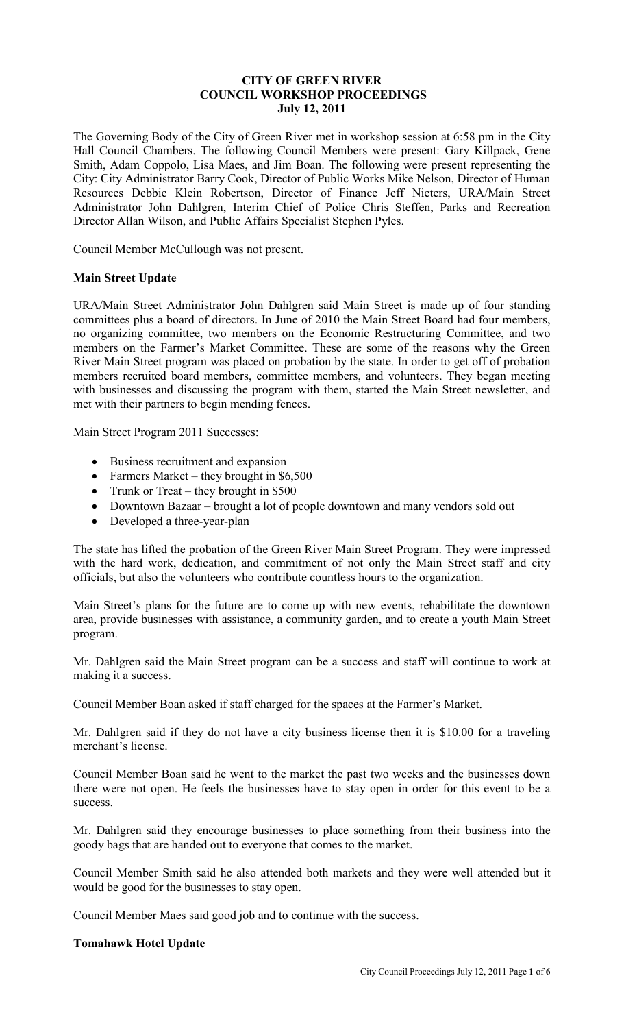## **CITY OF GREEN RIVER COUNCIL WORKSHOP PROCEEDINGS July 12, 2011**

The Governing Body of the City of Green River met in workshop session at 6:58 pm in the City Hall Council Chambers. The following Council Members were present: Gary Killpack, Gene Smith, Adam Coppolo, Lisa Maes, and Jim Boan. The following were present representing the City: City Administrator Barry Cook, Director of Public Works Mike Nelson, Director of Human Resources Debbie Klein Robertson, Director of Finance Jeff Nieters, URA/Main Street Administrator John Dahlgren, Interim Chief of Police Chris Steffen, Parks and Recreation Director Allan Wilson, and Public Affairs Specialist Stephen Pyles.

Council Member McCullough was not present.

## **Main Street Update**

URA/Main Street Administrator John Dahlgren said Main Street is made up of four standing committees plus a board of directors. In June of 2010 the Main Street Board had four members, no organizing committee, two members on the Economic Restructuring Committee, and two members on the Farmer's Market Committee. These are some of the reasons why the Green River Main Street program was placed on probation by the state. In order to get off of probation members recruited board members, committee members, and volunteers. They began meeting with businesses and discussing the program with them, started the Main Street newsletter, and met with their partners to begin mending fences.

Main Street Program 2011 Successes:

- Business recruitment and expansion
- Farmers Market they brought in \$6,500
- Trunk or Treat they brought in \$500
- Downtown Bazaar brought a lot of people downtown and many vendors sold out
- Developed a three-year-plan

The state has lifted the probation of the Green River Main Street Program. They were impressed with the hard work, dedication, and commitment of not only the Main Street staff and city officials, but also the volunteers who contribute countless hours to the organization.

Main Street's plans for the future are to come up with new events, rehabilitate the downtown area, provide businesses with assistance, a community garden, and to create a youth Main Street program.

Mr. Dahlgren said the Main Street program can be a success and staff will continue to work at making it a success.

Council Member Boan asked if staff charged for the spaces at the Farmer's Market.

Mr. Dahlgren said if they do not have a city business license then it is \$10.00 for a traveling merchant's license.

Council Member Boan said he went to the market the past two weeks and the businesses down there were not open. He feels the businesses have to stay open in order for this event to be a success.

Mr. Dahlgren said they encourage businesses to place something from their business into the goody bags that are handed out to everyone that comes to the market.

Council Member Smith said he also attended both markets and they were well attended but it would be good for the businesses to stay open.

Council Member Maes said good job and to continue with the success.

#### **Tomahawk Hotel Update**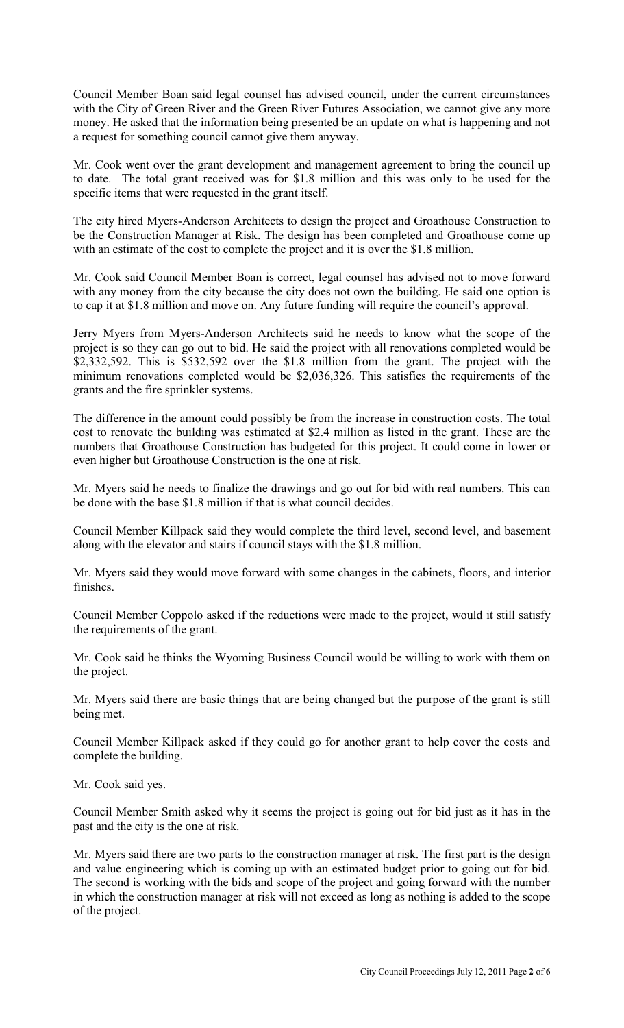Council Member Boan said legal counsel has advised council, under the current circumstances with the City of Green River and the Green River Futures Association, we cannot give any more money. He asked that the information being presented be an update on what is happening and not a request for something council cannot give them anyway.

Mr. Cook went over the grant development and management agreement to bring the council up to date. The total grant received was for \$1.8 million and this was only to be used for the specific items that were requested in the grant itself.

The city hired Myers-Anderson Architects to design the project and Groathouse Construction to be the Construction Manager at Risk. The design has been completed and Groathouse come up with an estimate of the cost to complete the project and it is over the \$1.8 million.

Mr. Cook said Council Member Boan is correct, legal counsel has advised not to move forward with any money from the city because the city does not own the building. He said one option is to cap it at \$1.8 million and move on. Any future funding will require the council's approval.

Jerry Myers from Myers-Anderson Architects said he needs to know what the scope of the project is so they can go out to bid. He said the project with all renovations completed would be \$2,332,592. This is \$532,592 over the \$1.8 million from the grant. The project with the minimum renovations completed would be \$2,036,326. This satisfies the requirements of the grants and the fire sprinkler systems.

The difference in the amount could possibly be from the increase in construction costs. The total cost to renovate the building was estimated at \$2.4 million as listed in the grant. These are the numbers that Groathouse Construction has budgeted for this project. It could come in lower or even higher but Groathouse Construction is the one at risk.

Mr. Myers said he needs to finalize the drawings and go out for bid with real numbers. This can be done with the base \$1.8 million if that is what council decides.

Council Member Killpack said they would complete the third level, second level, and basement along with the elevator and stairs if council stays with the \$1.8 million.

Mr. Myers said they would move forward with some changes in the cabinets, floors, and interior finishes.

Council Member Coppolo asked if the reductions were made to the project, would it still satisfy the requirements of the grant.

Mr. Cook said he thinks the Wyoming Business Council would be willing to work with them on the project.

Mr. Myers said there are basic things that are being changed but the purpose of the grant is still being met.

Council Member Killpack asked if they could go for another grant to help cover the costs and complete the building.

Mr. Cook said yes.

Council Member Smith asked why it seems the project is going out for bid just as it has in the past and the city is the one at risk.

Mr. Myers said there are two parts to the construction manager at risk. The first part is the design and value engineering which is coming up with an estimated budget prior to going out for bid. The second is working with the bids and scope of the project and going forward with the number in which the construction manager at risk will not exceed as long as nothing is added to the scope of the project.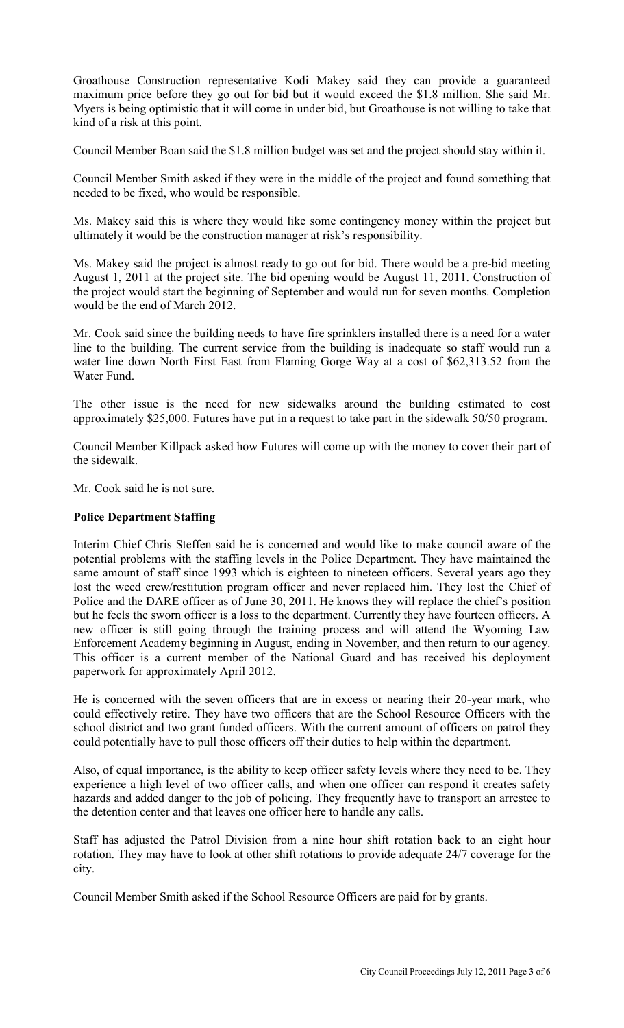Groathouse Construction representative Kodi Makey said they can provide a guaranteed maximum price before they go out for bid but it would exceed the \$1.8 million. She said Mr. Myers is being optimistic that it will come in under bid, but Groathouse is not willing to take that kind of a risk at this point.

Council Member Boan said the \$1.8 million budget was set and the project should stay within it.

Council Member Smith asked if they were in the middle of the project and found something that needed to be fixed, who would be responsible.

Ms. Makey said this is where they would like some contingency money within the project but ultimately it would be the construction manager at risk's responsibility.

Ms. Makey said the project is almost ready to go out for bid. There would be a pre-bid meeting August 1, 2011 at the project site. The bid opening would be August 11, 2011. Construction of the project would start the beginning of September and would run for seven months. Completion would be the end of March 2012.

Mr. Cook said since the building needs to have fire sprinklers installed there is a need for a water line to the building. The current service from the building is inadequate so staff would run a water line down North First East from Flaming Gorge Way at a cost of \$62,313.52 from the Water Fund.

The other issue is the need for new sidewalks around the building estimated to cost approximately \$25,000. Futures have put in a request to take part in the sidewalk 50/50 program.

Council Member Killpack asked how Futures will come up with the money to cover their part of the sidewalk.

Mr. Cook said he is not sure.

# **Police Department Staffing**

Interim Chief Chris Steffen said he is concerned and would like to make council aware of the potential problems with the staffing levels in the Police Department. They have maintained the same amount of staff since 1993 which is eighteen to nineteen officers. Several years ago they lost the weed crew/restitution program officer and never replaced him. They lost the Chief of Police and the DARE officer as of June 30, 2011. He knows they will replace the chief's position but he feels the sworn officer is a loss to the department. Currently they have fourteen officers. A new officer is still going through the training process and will attend the Wyoming Law Enforcement Academy beginning in August, ending in November, and then return to our agency. This officer is a current member of the National Guard and has received his deployment paperwork for approximately April 2012.

He is concerned with the seven officers that are in excess or nearing their 20-year mark, who could effectively retire. They have two officers that are the School Resource Officers with the school district and two grant funded officers. With the current amount of officers on patrol they could potentially have to pull those officers off their duties to help within the department.

Also, of equal importance, is the ability to keep officer safety levels where they need to be. They experience a high level of two officer calls, and when one officer can respond it creates safety hazards and added danger to the job of policing. They frequently have to transport an arrestee to the detention center and that leaves one officer here to handle any calls.

Staff has adjusted the Patrol Division from a nine hour shift rotation back to an eight hour rotation. They may have to look at other shift rotations to provide adequate 24/7 coverage for the city.

Council Member Smith asked if the School Resource Officers are paid for by grants.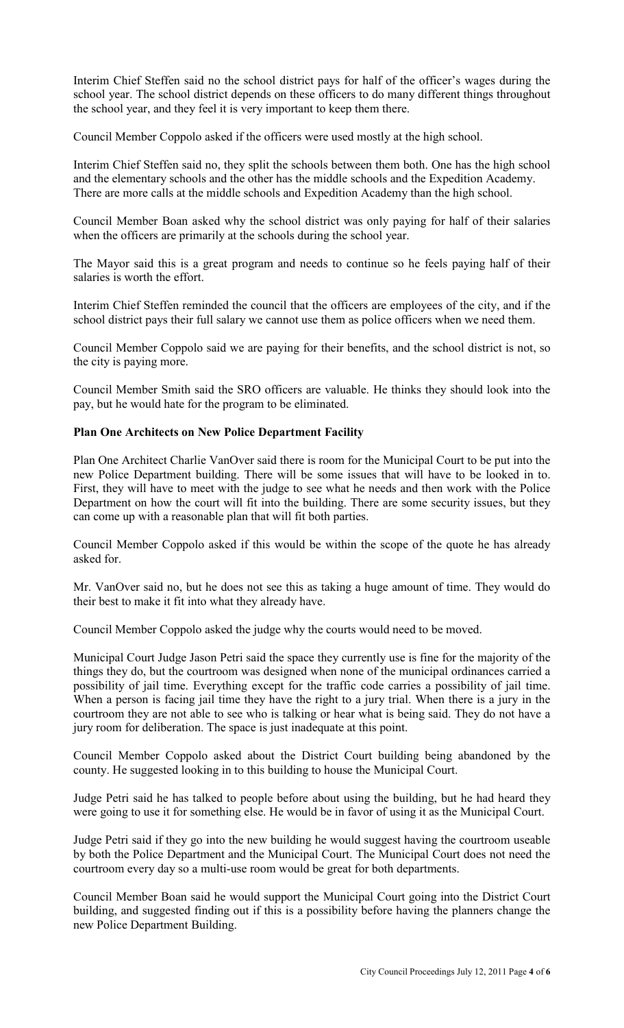Interim Chief Steffen said no the school district pays for half of the officer's wages during the school year. The school district depends on these officers to do many different things throughout the school year, and they feel it is very important to keep them there.

Council Member Coppolo asked if the officers were used mostly at the high school.

Interim Chief Steffen said no, they split the schools between them both. One has the high school and the elementary schools and the other has the middle schools and the Expedition Academy. There are more calls at the middle schools and Expedition Academy than the high school.

Council Member Boan asked why the school district was only paying for half of their salaries when the officers are primarily at the schools during the school year.

The Mayor said this is a great program and needs to continue so he feels paying half of their salaries is worth the effort.

Interim Chief Steffen reminded the council that the officers are employees of the city, and if the school district pays their full salary we cannot use them as police officers when we need them.

Council Member Coppolo said we are paying for their benefits, and the school district is not, so the city is paying more.

Council Member Smith said the SRO officers are valuable. He thinks they should look into the pay, but he would hate for the program to be eliminated.

# **Plan One Architects on New Police Department Facility**

Plan One Architect Charlie VanOver said there is room for the Municipal Court to be put into the new Police Department building. There will be some issues that will have to be looked in to. First, they will have to meet with the judge to see what he needs and then work with the Police Department on how the court will fit into the building. There are some security issues, but they can come up with a reasonable plan that will fit both parties.

Council Member Coppolo asked if this would be within the scope of the quote he has already asked for.

Mr. VanOver said no, but he does not see this as taking a huge amount of time. They would do their best to make it fit into what they already have.

Council Member Coppolo asked the judge why the courts would need to be moved.

Municipal Court Judge Jason Petri said the space they currently use is fine for the majority of the things they do, but the courtroom was designed when none of the municipal ordinances carried a possibility of jail time. Everything except for the traffic code carries a possibility of jail time. When a person is facing jail time they have the right to a jury trial. When there is a jury in the courtroom they are not able to see who is talking or hear what is being said. They do not have a jury room for deliberation. The space is just inadequate at this point.

Council Member Coppolo asked about the District Court building being abandoned by the county. He suggested looking in to this building to house the Municipal Court.

Judge Petri said he has talked to people before about using the building, but he had heard they were going to use it for something else. He would be in favor of using it as the Municipal Court.

Judge Petri said if they go into the new building he would suggest having the courtroom useable by both the Police Department and the Municipal Court. The Municipal Court does not need the courtroom every day so a multi-use room would be great for both departments.

Council Member Boan said he would support the Municipal Court going into the District Court building, and suggested finding out if this is a possibility before having the planners change the new Police Department Building.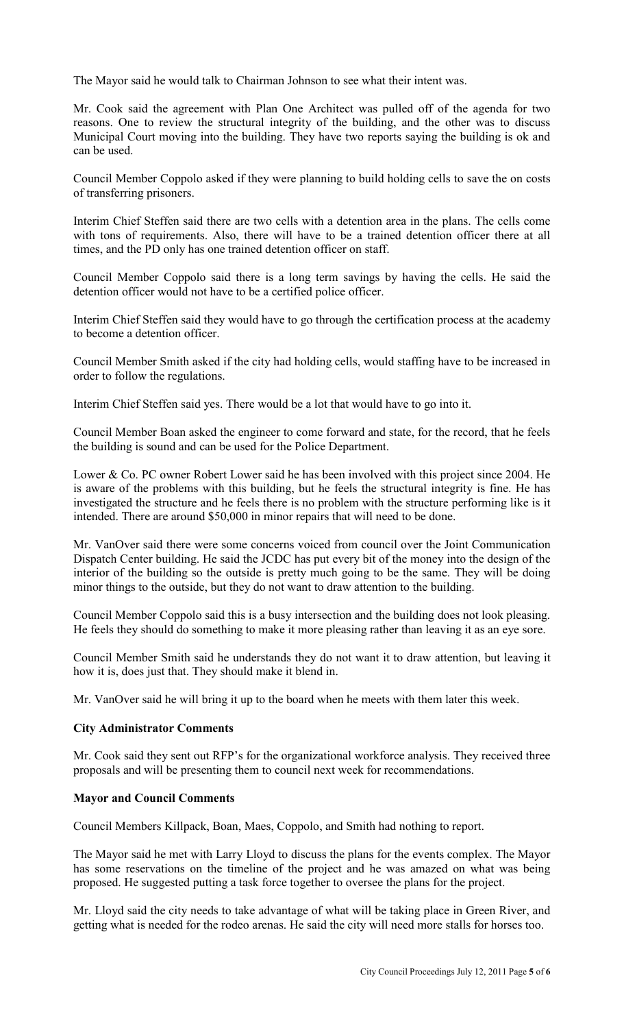The Mayor said he would talk to Chairman Johnson to see what their intent was.

Mr. Cook said the agreement with Plan One Architect was pulled off of the agenda for two reasons. One to review the structural integrity of the building, and the other was to discuss Municipal Court moving into the building. They have two reports saying the building is ok and can be used.

Council Member Coppolo asked if they were planning to build holding cells to save the on costs of transferring prisoners.

Interim Chief Steffen said there are two cells with a detention area in the plans. The cells come with tons of requirements. Also, there will have to be a trained detention officer there at all times, and the PD only has one trained detention officer on staff.

Council Member Coppolo said there is a long term savings by having the cells. He said the detention officer would not have to be a certified police officer.

Interim Chief Steffen said they would have to go through the certification process at the academy to become a detention officer.

Council Member Smith asked if the city had holding cells, would staffing have to be increased in order to follow the regulations.

Interim Chief Steffen said yes. There would be a lot that would have to go into it.

Council Member Boan asked the engineer to come forward and state, for the record, that he feels the building is sound and can be used for the Police Department.

Lower & Co. PC owner Robert Lower said he has been involved with this project since 2004. He is aware of the problems with this building, but he feels the structural integrity is fine. He has investigated the structure and he feels there is no problem with the structure performing like is it intended. There are around \$50,000 in minor repairs that will need to be done.

Mr. VanOver said there were some concerns voiced from council over the Joint Communication Dispatch Center building. He said the JCDC has put every bit of the money into the design of the interior of the building so the outside is pretty much going to be the same. They will be doing minor things to the outside, but they do not want to draw attention to the building.

Council Member Coppolo said this is a busy intersection and the building does not look pleasing. He feels they should do something to make it more pleasing rather than leaving it as an eye sore.

Council Member Smith said he understands they do not want it to draw attention, but leaving it how it is, does just that. They should make it blend in.

Mr. VanOver said he will bring it up to the board when he meets with them later this week.

## **City Administrator Comments**

Mr. Cook said they sent out RFP's for the organizational workforce analysis. They received three proposals and will be presenting them to council next week for recommendations.

## **Mayor and Council Comments**

Council Members Killpack, Boan, Maes, Coppolo, and Smith had nothing to report.

The Mayor said he met with Larry Lloyd to discuss the plans for the events complex. The Mayor has some reservations on the timeline of the project and he was amazed on what was being proposed. He suggested putting a task force together to oversee the plans for the project.

Mr. Lloyd said the city needs to take advantage of what will be taking place in Green River, and getting what is needed for the rodeo arenas. He said the city will need more stalls for horses too.